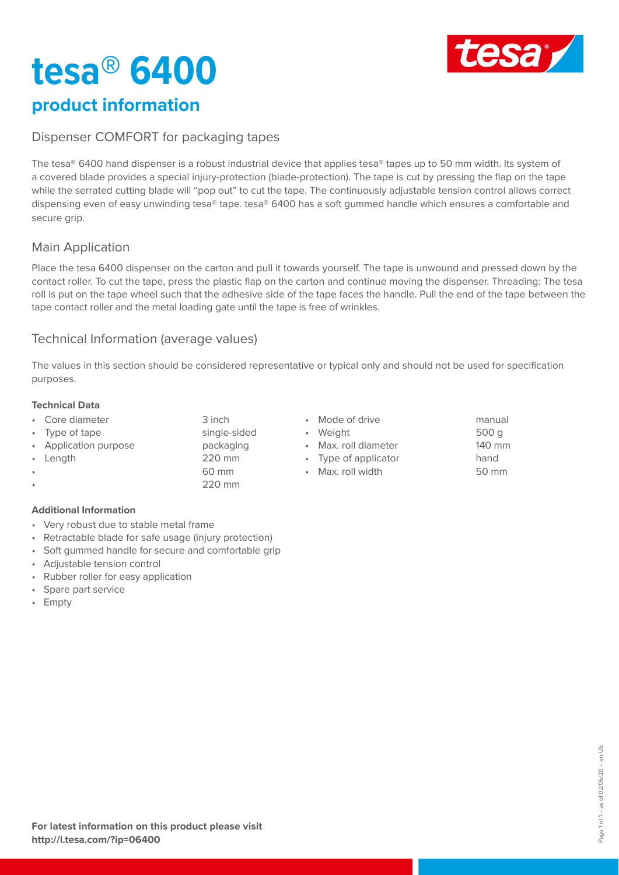# **tesa® 6400**



# **product information**

#### Dispenser COMFORT for packaging tapes

The tesa® 6400 hand dispenser is a robust industrial device that applies tesa® tapes up to 50 mm width. Its system of a covered blade provides a special injury-protection (blade-protection). The tape is cut by pressing the flap on the tape while the serrated cutting blade will "pop out" to cut the tape. The continuously adjustable tension control allows correct dispensing even of easy unwinding tesa® tape. tesa® 6400 has a soft gummed handle which ensures a comfortable and secure grip.

## Main Application

Place the tesa 6400 dispenser on the carton and pull it towards yourself. The tape is unwound and pressed down by the contact roller. To cut the tape, press the plastic flap on the carton and continue moving the dispenser. Threading: The tesa roll is put on the tape wheel such that the adhesive side of the tape faces the handle. Pull the end of the tape between the tape contact roller and the metal loading gate until the tape is free of wrinkles.

#### Technical Information (average values)

The values in this section should be considered representative or typical only and should not be used for specification purposes.

#### **Technical Data**

- Core diameter 3 inch • Type of tape single-sided
- Application purpose **packaging**
- 
- Length 220 mm
	- 60 mm • 220 mm
- Mode of drive manual
- Weight 500 g
- Max. roll diameter 140 mm
- Type of applicator hand
- Max. roll width 50 mm
- 

#### **Additional Information**

- Very robust due to stable metal frame
- Retractable blade for safe usage (injury protection)
- Soft gummed handle for secure and comfortable grip
- Adjustable tension control
- Rubber roller for easy application
- Spare part service
- Empty